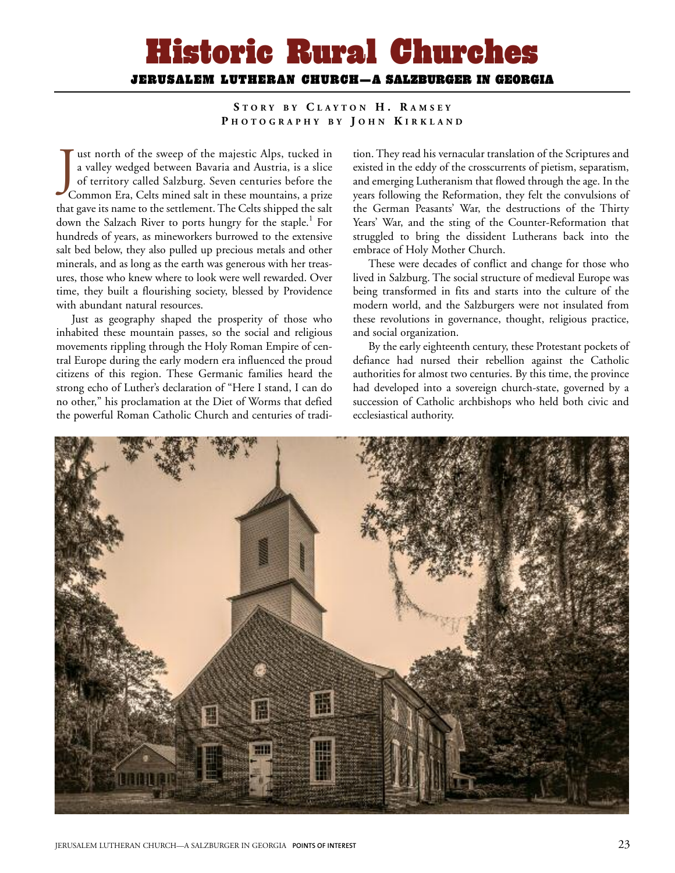## Historic Rural Churches JERUSALEM LUTHERAN CHURCH—A SALZBURGER IN GEORGIA

**S T O R Y B Y C L A Y T O N H . R A M S E Y P H O T O G R A P H Y B Y J O H N K I R K L A N D**

Just north of the sweep of the majestic Alps, tucked in<br>a valley wedged between Bavaria and Austria, is a slice<br>of territory called Salzburg. Seven centuries before the<br>Common Era, Celts mined salt in these mountains, a pr ust north of the sweep of the majestic Alps, tucked in a valley wedged between Bavaria and Austria, is a slice of territory called Salzburg. Seven centuries before the that gave its name to the settlement. The Celts shipped the salt down the Salzach River to ports hungry for the staple. <sup>1</sup> For hundreds of years, as mineworkers burrowed to the extensive salt bed below, they also pulled up precious metals and other minerals, and as long as the earth was generous with her treasures, those who knew where to look were well rewarded. Over time, they built a flourishing society, blessed by Providence with abundant natural resources.

Just as geography shaped the prosperity of those who inhabited these mountain passes, so the social and religious movements rippling through the Holy Roman Empire of central Europe during the early modern era influenced the proud citizens of this region. These Germanic families heard the strong echo of Luther's declaration of "Here I stand, I can do no other," his proclamation at the Diet of Worms that defied the powerful Roman Catholic Church and centuries of tradi-

tion. They read his vernacular translation of the Scriptures and existed in the eddy of the crosscurrents of pietism, separatism, and emerging Lutheranism that flowed through the age. In the years following the Reformation, they felt the convulsions of the German Peasants' War, the destructions of the Thirty Years' War, and the sting of the Counter-Reformation that struggled to bring the dissident Lutherans back into the embrace of Holy Mother Church.

These were decades of conflict and change for those who lived in Salzburg. The social structure of medieval Europe was being transformed in fits and starts into the culture of the modern world, and the Salzburgers were not insulated from these revolutions in governance, thought, religious practice, and social organization.

By the early eighteenth century, these Protestant pockets of defiance had nursed their rebellion against the Catholic authorities for almost two centuries. By this time, the province had developed into a sovereign church-state, governed by a succession of Catholic archbishops who held both civic and ecclesiastical authority.

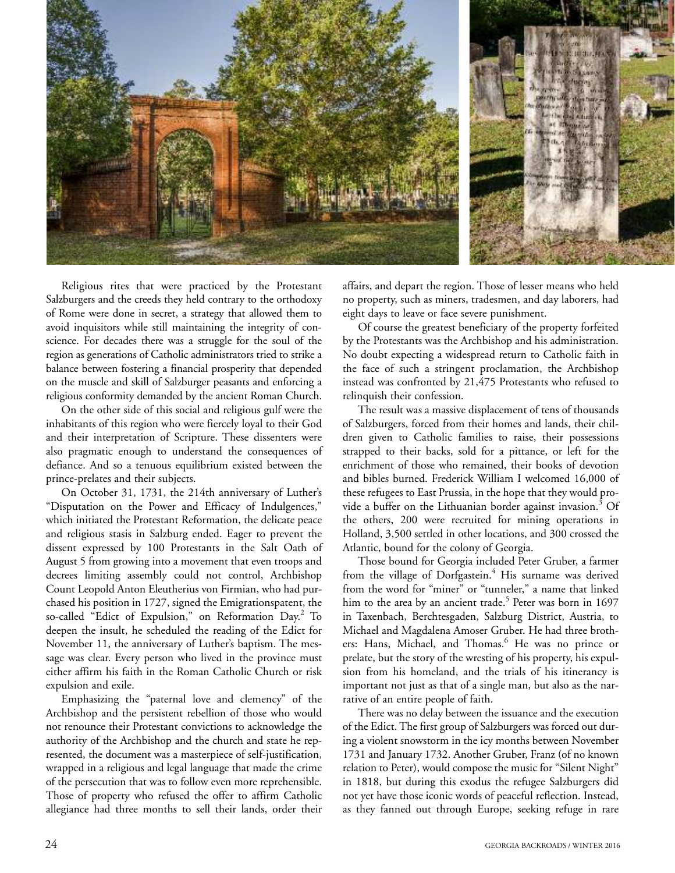

Religious rites that were practiced by the Protestant Salzburgers and the creeds they held contrary to the orthodoxy of Rome were done in secret, a strategy that allowed them to avoid inquisitors while still maintaining the integrity of conscience. For decades there was a struggle for the soul of the region as generations of Catholic administrators tried to strike a balance between fostering a financial prosperity that depended on the muscle and skill of Salzburger peasants and enforcing a religious conformity demanded by the ancient Roman Church.

On the other side of this social and religious gulf were the inhabitants of this region who were fiercely loyal to their God and their interpretation of Scripture. These dissenters were also pragmatic enough to understand the consequences of defiance. And so a tenuous equilibrium existed between the prince-prelates and their subjects.

On October 31, 1731, the 214th anniversary of Luther's "Disputation on the Power and Efficacy of Indulgences," which initiated the Protestant Reformation, the delicate peace and religious stasis in Salzburg ended. Eager to prevent the dissent expressed by 100 Protestants in the Salt Oath of August 5 from growing into a movement that even troops and decrees limiting assembly could not control, Archbishop Count Leopold Anton Eleutherius von Firmian, who had purchased his position in 1727, signed the Emigrationspatent, the so-called "Edict of Expulsion," on Reformation Day. <sup>2</sup> To deepen the insult, he scheduled the reading of the Edict for November 11, the anniversary of Luther's baptism. The message was clear. Every person who lived in the province must either affirm his faith in the Roman Catholic Church or risk expulsion and exile.

Emphasizing the "paternal love and clemency" of the Archbishop and the persistent rebellion of those who would not renounce their Protestant convictions to acknowledge the authority of the Archbishop and the church and state he represented, the document was a masterpiece of self-justification, wrapped in a religious and legal language that made the crime of the persecution that was to follow even more reprehensible. Those of property who refused the offer to affirm Catholic allegiance had three months to sell their lands, order their affairs, and depart the region. Those of lesser means who held no property, such as miners, tradesmen, and day laborers, had eight days to leave or face severe punishment.

Of course the greatest beneficiary of the property forfeited by the Protestants was the Archbishop and his administration. No doubt expecting a widespread return to Catholic faith in the face of such a stringent proclamation, the Archbishop instead was confronted by 21,475 Protestants who refused to relinquish their confession.

The result was a massive displacement of tens of thousands of Salzburgers, forced from their homes and lands, their children given to Catholic families to raise, their possessions strapped to their backs, sold for a pittance, or left for the enrichment of those who remained, their books of devotion and bibles burned. Frederick William I welcomed 16,000 of these refugees to East Prussia, in the hope that they would provide a buffer on the Lithuanian border against invasion.<sup>3</sup> Of the others, 200 were recruited for mining operations in Holland, 3,500 settled in other locations, and 300 crossed the Atlantic, bound for the colony of Georgia.

Those bound for Georgia included Peter Gruber, a farmer from the village of Dorfgastein. <sup>4</sup> His surname was derived from the word for "miner" or "tunneler," a name that linked him to the area by an ancient trade. <sup>5</sup> Peter was born in 1697 in Taxenbach, Berchtesgaden, Salzburg District, Austria, to Michael and Magdalena Amoser Gruber. He had three brothers: Hans, Michael, and Thomas. <sup>6</sup> He was no prince or prelate, but the story of the wresting of his property, his expulsion from his homeland, and the trials of his itinerancy is important not just as that of a single man, but also as the narrative of an entire people of faith.

There was no delay between the issuance and the execution of the Edict. The first group of Salzburgers was forced out during a violent snowstorm in the icy months between November 1731 and January 1732. Another Gruber, Franz (of no known relation to Peter), would compose the music for "Silent Night" in 1818, but during this exodus the refugee Salzburgers did not yet have those iconic words of peaceful reflection. Instead, as they fanned out through Europe, seeking refuge in rare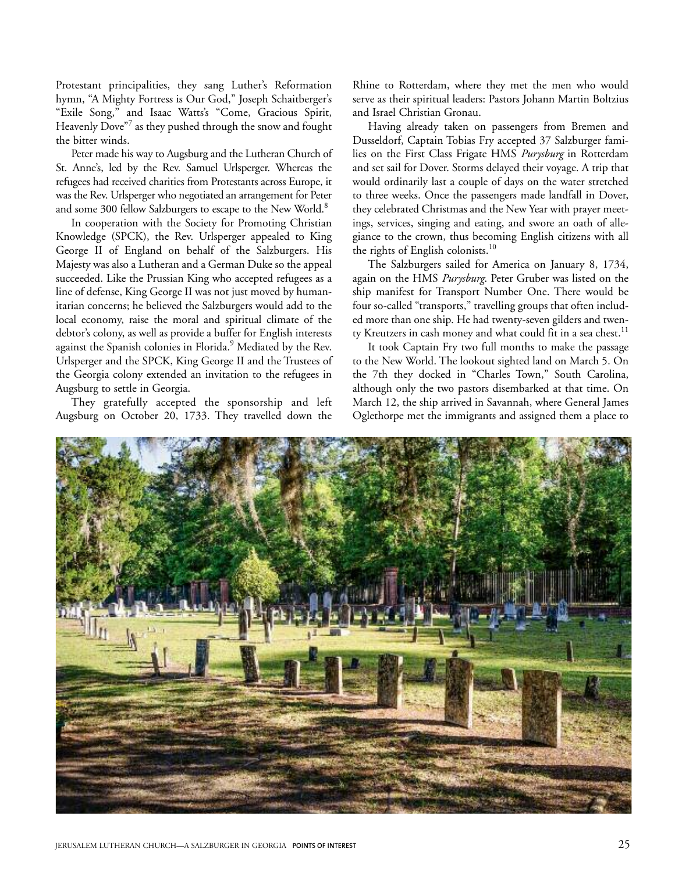Protestant principalities, they sang Luther's Reformation hymn, "A Mighty Fortress is Our God," Joseph Schaitberger's "Exile Song," and Isaac Watts's "Come, Gracious Spirit, Heavenly Dove"<sup>7</sup> as they pushed through the snow and fought the bitter winds.

Peter made his way to Augsburg and the Lutheran Church of St. Anne's, led by the Rev. Samuel Urlsperger. Whereas the refugees had received charities from Protestants across Europe, it was the Rev. Urlsperger who negotiated an arrangement for Peter and some 300 fellow Salzburgers to escape to the New World.<sup>8</sup>

In cooperation with the Society for Promoting Christian Knowledge (SPCK), the Rev. Urlsperger appealed to King George II of England on behalf of the Salzburgers. His Majesty was also a Lutheran and a German Duke so the appeal succeeded. Like the Prussian King who accepted refugees as a line of defense, King George II was not just moved by humanitarian concerns; he believed the Salzburgers would add to the local economy, raise the moral and spiritual climate of the debtor's colony, as well as provide a buffer for English interests against the Spanish colonies in Florida. <sup>9</sup> Mediated by the Rev. Urlsperger and the SPCK, King George II and the Trustees of the Georgia colony extended an invitation to the refugees in Augsburg to settle in Georgia.

They gratefully accepted the sponsorship and left Augsburg on October 20, 1733. They travelled down the

Rhine to Rotterdam, where they met the men who would serve as their spiritual leaders: Pastors Johann Martin Boltzius and Israel Christian Gronau.

Having already taken on passengers from Bremen and Dusseldorf, Captain Tobias Fry accepted 37 Salzburger families on the First Class Frigate HMS *Purysburg* in Rotterdam and set sail for Dover. Storms delayed their voyage. A trip that would ordinarily last a couple of days on the water stretched to three weeks. Once the passengers made landfall in Dover, they celebrated Christmas and the New Year with prayer meetings, services, singing and eating, and swore an oath of allegiance to the crown, thus becoming English citizens with all the rights of English colonists.<sup>10</sup>

The Salzburgers sailed for America on January 8, 1734, again on the HMS *Purysburg*. Peter Gruber was listed on the ship manifest for Transport Number One. There would be four so-called "transports," travelling groups that often included more than one ship. He had twenty-seven gilders and twenty Kreutzers in cash money and what could fit in a sea chest.<sup>11</sup>

It took Captain Fry two full months to make the passage to the New World. The lookout sighted land on March 5. On the 7th they docked in "Charles Town," South Carolina, although only the two pastors disembarked at that time. On March 12, the ship arrived in Savannah, where General James Oglethorpe met the immigrants and assigned them a place to

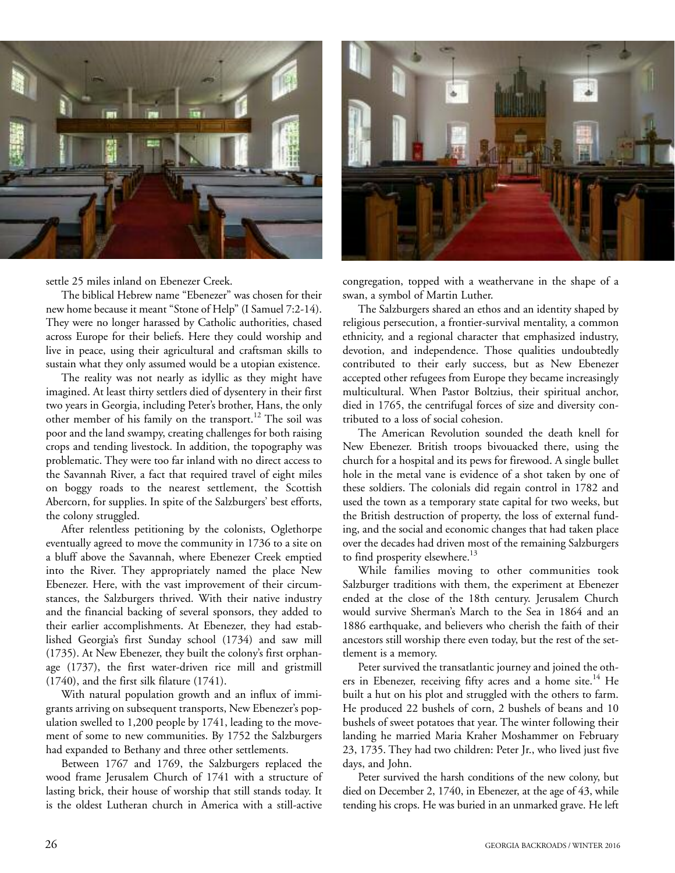

settle 25 miles inland on Ebenezer Creek.

The biblical Hebrew name "Ebenezer" was chosen for their new home because it meant "Stone of Help" (I Samuel 7:2-14). They were no longer harassed by Catholic authorities, chased across Europe for their beliefs. Here they could worship and live in peace, using their agricultural and craftsman skills to sustain what they only assumed would be a utopian existence.

The reality was not nearly as idyllic as they might have imagined. At least thirty settlers died of dysentery in their first two years in Georgia, including Peter's brother, Hans, the only other member of his family on the transport. <sup>12</sup> The soil was poor and the land swampy, creating challenges for both raising crops and tending livestock. In addition, the topography was problematic. They were too far inland with no direct access to the Savannah River, a fact that required travel of eight miles on boggy roads to the nearest settlement, the Scottish Abercorn, for supplies. In spite of the Salzburgers' best efforts, the colony struggled.

After relentless petitioning by the colonists, Oglethorpe eventually agreed to move the community in 1736 to a site on a bluff above the Savannah, where Ebenezer Creek emptied into the River. They appropriately named the place New Ebenezer. Here, with the vast improvement of their circumstances, the Salzburgers thrived. With their native industry and the financial backing of several sponsors, they added to their earlier accomplishments. At Ebenezer, they had established Georgia's first Sunday school (1734) and saw mill (1735). At New Ebenezer, they built the colony's first orphanage (1737), the first water-driven rice mill and gristmill (1740), and the first silk filature (1741).

With natural population growth and an influx of immigrants arriving on subsequent transports, New Ebenezer's population swelled to 1,200 people by 1741, leading to the movement of some to new communities. By 1752 the Salzburgers had expanded to Bethany and three other settlements.

Between 1767 and 1769, the Salzburgers replaced the wood frame Jerusalem Church of 1741 with a structure of lasting brick, their house of worship that still stands today. It is the oldest Lutheran church in America with a still-active



congregation, topped with a weathervane in the shape of a swan, a symbol of Martin Luther.

The Salzburgers shared an ethos and an identity shaped by religious persecution, a frontier-survival mentality, a common ethnicity, and a regional character that emphasized industry, devotion, and independence. Those qualities undoubtedly contributed to their early success, but as New Ebenezer accepted other refugees from Europe they became increasingly multicultural. When Pastor Boltzius, their spiritual anchor, died in 1765, the centrifugal forces of size and diversity contributed to a loss of social cohesion.

The American Revolution sounded the death knell for New Ebenezer. British troops bivouacked there, using the church for a hospital and its pews for firewood. A single bullet hole in the metal vane is evidence of a shot taken by one of these soldiers. The colonials did regain control in 1782 and used the town as a temporary state capital for two weeks, but the British destruction of property, the loss of external funding, and the social and economic changes that had taken place over the decades had driven most of the remaining Salzburgers to find prosperity elsewhere.<sup>13</sup>

While families moving to other communities took Salzburger traditions with them, the experiment at Ebenezer ended at the close of the 18th century. Jerusalem Church would survive Sherman's March to the Sea in 1864 and an 1886 earthquake, and believers who cherish the faith of their ancestors still worship there even today, but the rest of the settlement is a memory.

Peter survived the transatlantic journey and joined the others in Ebenezer, receiving fifty acres and a home site.<sup>14</sup> He built a hut on his plot and struggled with the others to farm. He produced 22 bushels of corn, 2 bushels of beans and 10 bushels of sweet potatoes that year. The winter following their landing he married Maria Kraher Moshammer on February 23, 1735. They had two children: Peter Jr., who lived just five days, and John.

Peter survived the harsh conditions of the new colony, but died on December 2, 1740, in Ebenezer, at the age of 43, while tending his crops. He was buried in an unmarked grave. He left